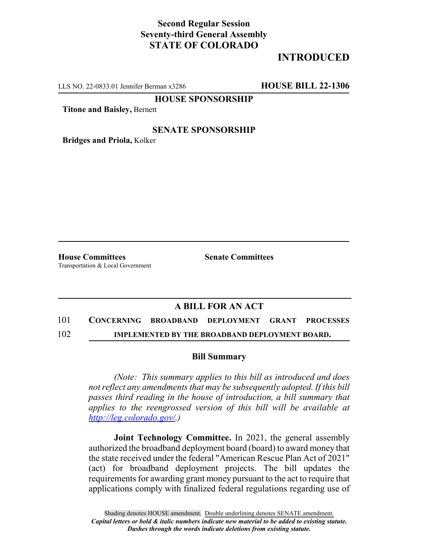# **Second Regular Session Seventy-third General Assembly STATE OF COLORADO**

# **INTRODUCED**

LLS NO. 22-0833.01 Jennifer Berman x3286 **HOUSE BILL 22-1306**

**HOUSE SPONSORSHIP**

**Titone and Baisley,** Bernett

### **SENATE SPONSORSHIP**

**Bridges and Priola,** Kolker

**House Committees Senate Committees** Transportation & Local Government

## **A BILL FOR AN ACT**

# 101 **CONCERNING BROADBAND DEPLOYMENT GRANT PROCESSES**

102 **IMPLEMENTED BY THE BROADBAND DEPLOYMENT BOARD.**

#### **Bill Summary**

*(Note: This summary applies to this bill as introduced and does not reflect any amendments that may be subsequently adopted. If this bill passes third reading in the house of introduction, a bill summary that applies to the reengrossed version of this bill will be available at http://leg.colorado.gov/.)*

**Joint Technology Committee.** In 2021, the general assembly authorized the broadband deployment board (board) to award money that the state received under the federal "American Rescue Plan Act of 2021" (act) for broadband deployment projects. The bill updates the requirements for awarding grant money pursuant to the act to require that applications comply with finalized federal regulations regarding use of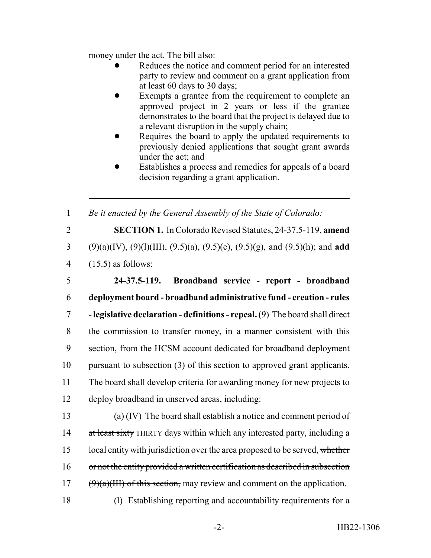money under the act. The bill also:

- Reduces the notice and comment period for an interested party to review and comment on a grant application from at least 60 days to 30 days;
- Exempts a grantee from the requirement to complete an approved project in 2 years or less if the grantee demonstrates to the board that the project is delayed due to a relevant disruption in the supply chain;
- Requires the board to apply the updated requirements to previously denied applications that sought grant awards under the act; and
- Establishes a process and remedies for appeals of a board decision regarding a grant application.

1 *Be it enacted by the General Assembly of the State of Colorado:*

2 **SECTION 1.** In Colorado Revised Statutes, 24-37.5-119, **amend** 3 (9)(a)(IV), (9)(l)(III), (9.5)(a), (9.5)(e), (9.5)(g), and (9.5)(h); and **add** 4 (15.5) as follows:

 **24-37.5-119. Broadband service - report - broadband deployment board - broadband administrative fund - creation - rules - legislative declaration - definitions - repeal.** (9) The board shall direct the commission to transfer money, in a manner consistent with this section, from the HCSM account dedicated for broadband deployment pursuant to subsection (3) of this section to approved grant applicants. The board shall develop criteria for awarding money for new projects to deploy broadband in unserved areas, including:

13 (a) (IV) The board shall establish a notice and comment period of 14 at least sixty THIRTY days within which any interested party, including a 15 local entity with jurisdiction over the area proposed to be served, whether 16 or not the entity provided a written certification as described in subsection 17  $(\theta)(a)(III)$  of this section, may review and comment on the application. 18 (l) Establishing reporting and accountability requirements for a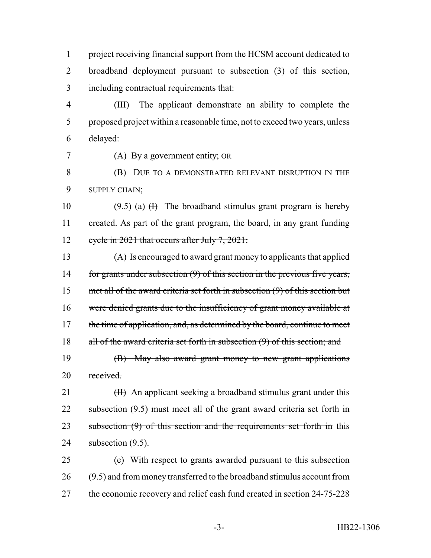1 project receiving financial support from the HCSM account dedicated to 2 broadband deployment pursuant to subsection (3) of this section, 3 including contractual requirements that:

4 (III) The applicant demonstrate an ability to complete the 5 proposed project within a reasonable time, not to exceed two years, unless 6 delayed:

7 (A) By a government entity; OR

8 (B) DUE TO A DEMONSTRATED RELEVANT DISRUPTION IN THE 9 SUPPLY CHAIN;

10 (9.5) (a)  $(H)$  The broadband stimulus grant program is hereby 11 created. As part of the grant program, the board, in any grant funding 12 cycle in 2021 that occurs after July 7, 2021:

13 (A) Is encouraged to award grant money to applicants that applied 14 for grants under subsection (9) of this section in the previous five years, 15 met all of the award criteria set forth in subsection (9) of this section but 16 were denied grants due to the insufficiency of grant money available at 17 the time of application, and, as determined by the board, continue to meet 18 all of the award criteria set forth in subsection (9) of this section; and 19 (B) May also award grant money to new grant applications

20 received.

 $(H)$  An applicant seeking a broadband stimulus grant under this subsection (9.5) must meet all of the grant award criteria set forth in 23 subsection (9) of this section and the requirements set forth in this subsection (9.5).

25 (e) With respect to grants awarded pursuant to this subsection 26 (9.5) and from money transferred to the broadband stimulus account from 27 the economic recovery and relief cash fund created in section 24-75-228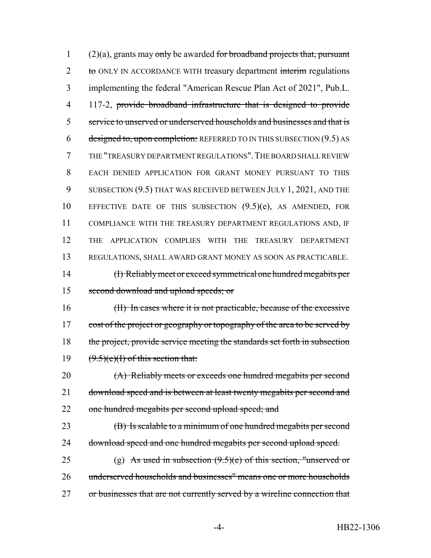(2)(a), grants may only be awarded for broadband projects that, pursuant 2 to ONLY IN ACCORDANCE WITH treasury department interim regulations implementing the federal "American Rescue Plan Act of 2021", Pub.L. 117-2, provide broadband infrastructure that is designed to provide service to unserved or underserved households and businesses and that is 6 designed to, upon completion: REFERRED TO IN THIS SUBSECTION  $(9.5)$  AS THE "TREASURY DEPARTMENT REGULATIONS".THE BOARD SHALL REVIEW EACH DENIED APPLICATION FOR GRANT MONEY PURSUANT TO THIS 9 SUBSECTION (9.5) THAT WAS RECEIVED BETWEEN JULY 1, 2021, AND THE EFFECTIVE DATE OF THIS SUBSECTION (9.5)(e), AS AMENDED, FOR COMPLIANCE WITH THE TREASURY DEPARTMENT REGULATIONS AND, IF THE APPLICATION COMPLIES WITH THE TREASURY DEPARTMENT REGULATIONS, SHALL AWARD GRANT MONEY AS SOON AS PRACTICABLE. (I) Reliably meet or exceed symmetrical one hundred megabits per second download and upload speeds; or (II) In cases where it is not practicable, because of the excessive

17 cost of the project or geography or topography of the area to be served by 18 the project, provide service meeting the standards set forth in subsection 19  $(9.5)(e)(1)$  of this section that:

20 (A) Reliably meets or exceeds one hundred megabits per second 21 download speed and is between at least twenty megabits per second and 22 one hundred megabits per second upload speed; and

23 (B) Is scalable to a minimum of one hundred megabits per second 24 download speed and one hundred megabits per second upload speed.

25 (g) As used in subsection  $(9.5)(e)$  of this section, "unserved or 26 underserved households and businesses" means one or more households 27 or businesses that are not currently served by a wireline connection that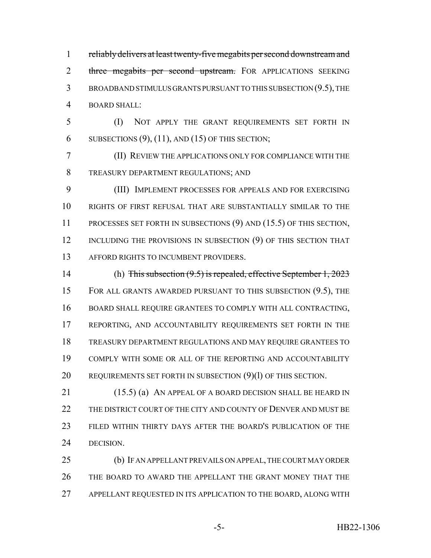reliably delivers at least twenty-five megabits per second downstream and 2 three megabits per second upstream. FOR APPLICATIONS SEEKING BROADBAND STIMULUS GRANTS PURSUANT TO THIS SUBSECTION (9.5), THE BOARD SHALL:

 (I) NOT APPLY THE GRANT REQUIREMENTS SET FORTH IN 6 SUBSECTIONS  $(9)$ ,  $(11)$ , AND  $(15)$  OF THIS SECTION;

 (II) REVIEW THE APPLICATIONS ONLY FOR COMPLIANCE WITH THE TREASURY DEPARTMENT REGULATIONS; AND

 (III) IMPLEMENT PROCESSES FOR APPEALS AND FOR EXERCISING RIGHTS OF FIRST REFUSAL THAT ARE SUBSTANTIALLY SIMILAR TO THE PROCESSES SET FORTH IN SUBSECTIONS (9) AND (15.5) OF THIS SECTION, 12 INCLUDING THE PROVISIONS IN SUBSECTION (9) OF THIS SECTION THAT 13 AFFORD RIGHTS TO INCUMBENT PROVIDERS.

 (h) This subsection (9.5) is repealed, effective September 1, 2023 FOR ALL GRANTS AWARDED PURSUANT TO THIS SUBSECTION (9.5), THE BOARD SHALL REQUIRE GRANTEES TO COMPLY WITH ALL CONTRACTING, 17 REPORTING, AND ACCOUNTABILITY REQUIREMENTS SET FORTH IN THE TREASURY DEPARTMENT REGULATIONS AND MAY REQUIRE GRANTEES TO COMPLY WITH SOME OR ALL OF THE REPORTING AND ACCOUNTABILITY 20 REQUIREMENTS SET FORTH IN SUBSECTION (9)(1) OF THIS SECTION.

21 (15.5) (a) AN APPEAL OF A BOARD DECISION SHALL BE HEARD IN 22 THE DISTRICT COURT OF THE CITY AND COUNTY OF DENVER AND MUST BE FILED WITHIN THIRTY DAYS AFTER THE BOARD'S PUBLICATION OF THE DECISION.

 (b) IF AN APPELLANT PREVAILS ON APPEAL, THE COURT MAY ORDER THE BOARD TO AWARD THE APPELLANT THE GRANT MONEY THAT THE APPELLANT REQUESTED IN ITS APPLICATION TO THE BOARD, ALONG WITH